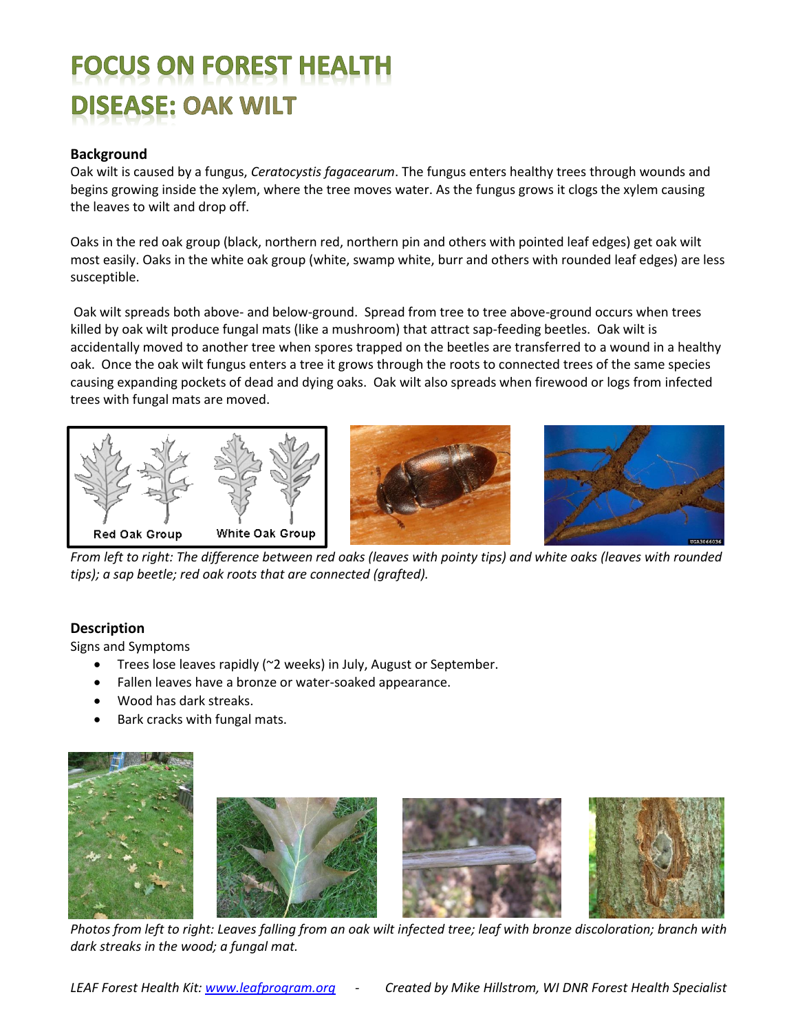# **FOCUS ON FOREST HEALTH DISEASE: OAK WILT**

# **Background**

Oak wilt is caused by a fungus, *Ceratocystis fagacearum*. The fungus enters healthy trees through wounds and begins growing inside the xylem, where the tree moves water. As the fungus grows it clogs the xylem causing the leaves to wilt and drop off.

Oaks in the red oak group (black, northern red, northern pin and others with pointed leaf edges) get oak wilt most easily. Oaks in the white oak group (white, swamp white, burr and others with rounded leaf edges) are less susceptible.

Oak wilt spreads both above- and below-ground. Spread from tree to tree above-ground occurs when trees killed by oak wilt produce fungal mats (like a mushroom) that attract sap-feeding beetles. Oak wilt is accidentally moved to another tree when spores trapped on the beetles are transferred to a wound in a healthy oak. Once the oak wilt fungus enters a tree it grows through the roots to connected trees of the same species causing expanding pockets of dead and dying oaks. Oak wilt also spreads when firewood or logs from infected trees with fungal mats are moved.



*From left to right: The difference between red oaks (leaves with pointy tips) and white oaks (leaves with rounded tips); a sap beetle; red oak roots that are connected (grafted).*

### **Description**

Signs and Symptoms

- Trees lose leaves rapidly (~2 weeks) in July, August or September.
- Fallen leaves have a bronze or water-soaked appearance.
- Wood has dark streaks.
- Bark cracks with fungal mats.



*Photos from left to right: Leaves falling from an oak wilt infected tree; leaf with bronze discoloration; branch with dark streaks in the wood; a fungal mat.*